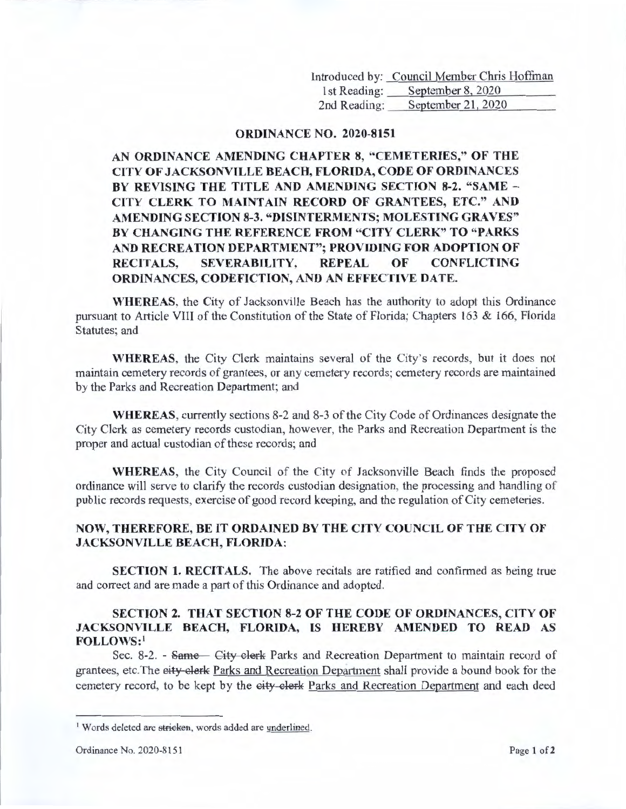Introduced by: Council Member Chris Hoffman 1st Reading: September 8, 2020 2nd Reading: September 21, 2020

## **ORDINANCE NO. 2020-8151**

**AN ORDINANCE AMENDING CHAPTER 8, "CEMETERIES," OF THE CITY OF JACKSONVILLE BEACH, FLORIDA, CODE OF ORDINANCES BY REVISING THE TITLE AND AMENDING SECTION 8-2. "SAME** - **CITY CLERK TO MAINTAIN RECORD OF GRANTEES, ETC." AND AMENDING SECTION 8-3. "DISINTERMENTS; MOLESTING GRAYES" BY CHANGING THE REFERENCE FROM "CITY CLERK" TO "PARKS AND RECREATION DEPARTMENT"; PROVIDING FOR ADOPTION OF RECITALS, SEVERABILITY, REPEAL OF CONFLICTING ORDINANCES, CODEFICTION, AND AN EFFECTIVE DATE.** 

**WHEREAS,** the City of Jacksonville Beach has the authority to adopt this Ordinance pursuant to Article VIII of the Constitution of the State of Florida; Chapters 163 & 166, Florida Statutes; and

**WHEREAS,** the City Clerk maintains several of the City's records, but it does not maintain cemetery records of grantees, or any cemetery records; cemetery records are maintained by the Parks and Recreation Department; and

**WHEREAS,** currently sections 8-2 and 8-3 of the City Code of Ordinances designate the City Clerk as cemetery records custodian, however, the Parks and Recreation Department is the proper and actual custodian of these records; and

**WHEREAS,** the City Council of the City of Jacksonville Beach finds the proposed ordinance will serve to clarify the records custodian designation, the processing and handling of public records requests, exercise of good record keeping, and the regulation of City cemeteries.

## **NOW, THEREFORE, BE** IT **ORDAINED BY THE CITY COUNCIL OF THE CITY OF JACKSONVILLE BEACH, FLORIDA:**

**SECTION 1. RECITALS.** The above recitals are ratified and confirmed as being true and correct and are made a part of this Ordinance and adopted.

## **SECTION 2. THAT SECTION 8-2 OF THE CODE OF ORDINANCES, CITY OF JACKSONVILLE BEACH, FLORIDA, IS HEREBY AMENDED TO READ AS FOLLOWS:'**

Sec. 8-2. - Same – City clerk Parks and Recreation Department to maintain record of grantees, etc. The eity elerk Parks and Recreation Department shall provide a bound book for the cemetery record, to be kept by the eity clerk Parks and Recreation Department and each deed

<sup>&</sup>lt;sup>1</sup> Words deleted are stricken, words added are underlined.